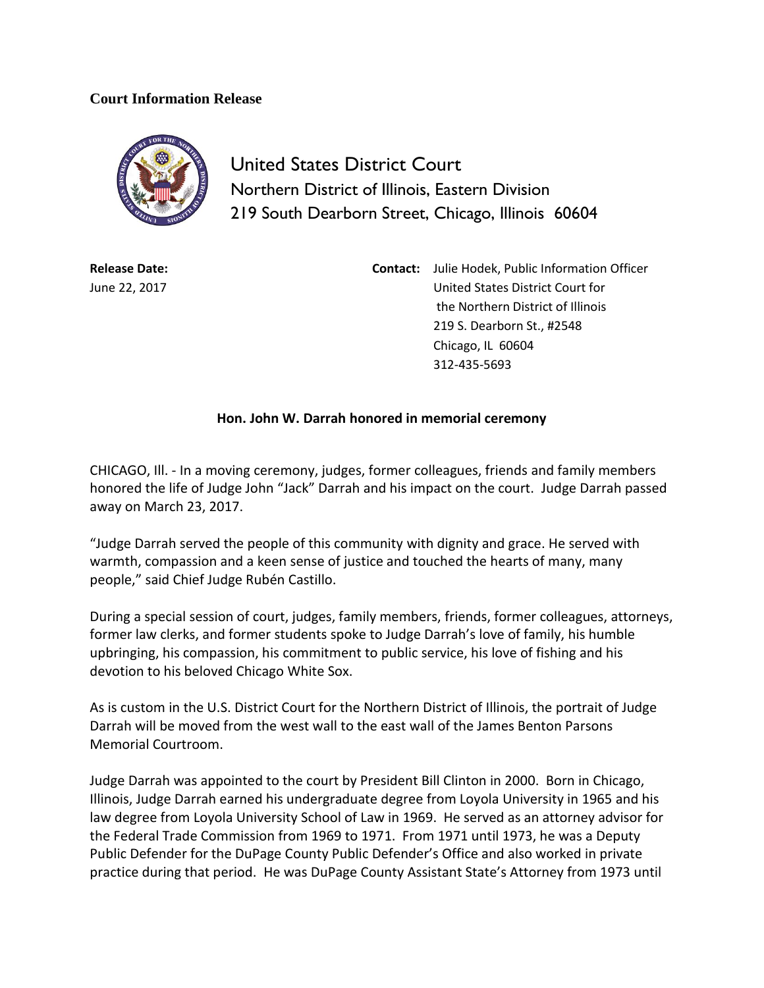## **Court Information Release**



United States District Court Northern District of Illinois, Eastern Division 219 South Dearborn Street, Chicago, Illinois 60604

**Release Date:** June 22, 2017 **Contact:** Julie Hodek, Public Information Officer United States District Court for the Northern District of Illinois 219 S. Dearborn St., #2548 Chicago, IL 60604 312-435-5693

## **Hon. John W. Darrah honored in memorial ceremony**

CHICAGO, Ill. - In a moving ceremony, judges, former colleagues, friends and family members honored the life of Judge John "Jack" Darrah and his impact on the court. Judge Darrah passed away on March 23, 2017.

"Judge Darrah served the people of this community with dignity and grace. He served with warmth, compassion and a keen sense of justice and touched the hearts of many, many people," said Chief Judge Rubén Castillo.

During a special session of court, judges, family members, friends, former colleagues, attorneys, former law clerks, and former students spoke to Judge Darrah's love of family, his humble upbringing, his compassion, his commitment to public service, his love of fishing and his devotion to his beloved Chicago White Sox.

As is custom in the U.S. District Court for the Northern District of Illinois, the portrait of Judge Darrah will be moved from the west wall to the east wall of the James Benton Parsons Memorial Courtroom.

Judge Darrah was appointed to the court by President Bill Clinton in 2000. Born in Chicago, Illinois, Judge Darrah earned his undergraduate degree from Loyola University in 1965 and his law degree from Loyola University School of Law in 1969. He served as an attorney advisor for the Federal Trade Commission from 1969 to 1971. From 1971 until 1973, he was a Deputy Public Defender for the DuPage County Public Defender's Office and also worked in private practice during that period. He was DuPage County Assistant State's Attorney from 1973 until